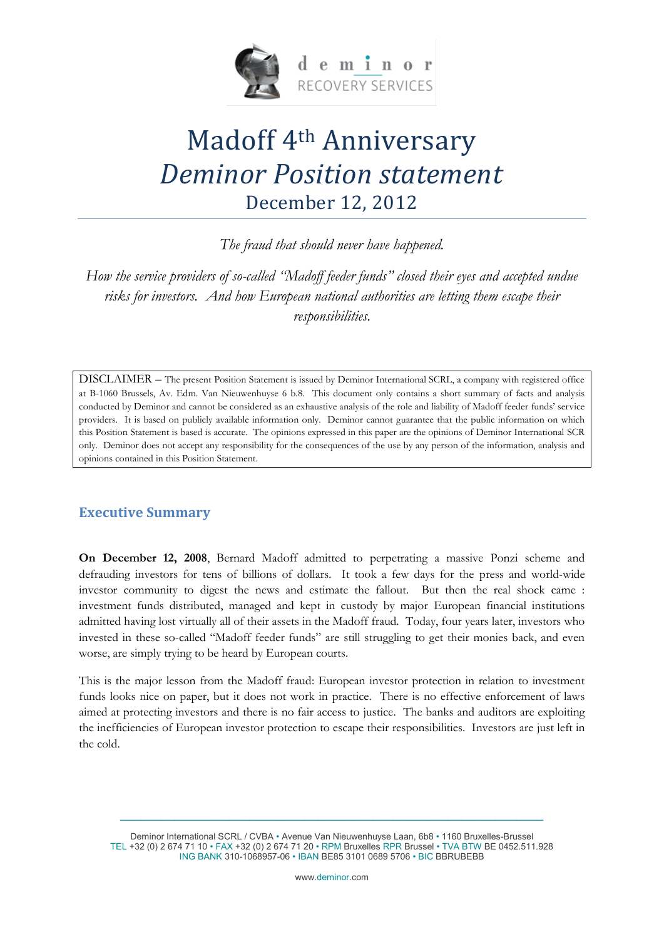

# Madoff 4th Anniversary *Deminor Position statement* December 12, 2012

*The fraud that should never have happened.*

*How the service providers of so-called "Madoff feeder funds" closed their eyes and accepted undue risks for investors. And how European national authorities are letting them escape their responsibilities.*

DISCLAIMER – The present Position Statement is issued by Deminor International SCRL, a company with registered office at B-1060 Brussels, Av. Edm. Van Nieuwenhuyse 6 b.8. This document only contains a short summary of facts and analysis conducted by Deminor and cannot be considered as an exhaustive analysis of the role and liability of Madoff feeder funds' service providers. It is based on publicly available information only. Deminor cannot guarantee that the public information on which this Position Statement is based is accurate. The opinions expressed in this paper are the opinions of Deminor International SCR only. Deminor does not accept any responsibility for the consequences of the use by any person of the information, analysis and opinions contained in this Position Statement.

#### **Executive Summary**

**On December 12, 2008**, Bernard Madoff admitted to perpetrating a massive Ponzi scheme and defrauding investors for tens of billions of dollars. It took a few days for the press and world-wide investor community to digest the news and estimate the fallout. But then the real shock came : investment funds distributed, managed and kept in custody by major European financial institutions admitted having lost virtually all of their assets in the Madoff fraud. Today, four years later, investors who invested in these so-called "Madoff feeder funds" are still struggling to get their monies back, and even worse, are simply trying to be heard by European courts.

This is the major lesson from the Madoff fraud: European investor protection in relation to investment funds looks nice on paper, but it does not work in practice. There is no effective enforcement of laws aimed at protecting investors and there is no fair access to justice. The banks and auditors are exploiting the inefficiencies of European investor protection to escape their responsibilities. Investors are just left in the cold.

Deminor International SCRL / CVBA • Avenue Van Nieuwenhuyse Laan, 6b8 • 1160 Bruxelles-Brussel TEL +32 (0) 2 674 71 10 • FAX +32 (0) 2 674 71 20 • RPM Bruxelles RPR Brussel • TVA BTW BE 0452.511.928 ING BANK 310-1068957-06 • IBAN BE85 3101 0689 5706 • BIC BBRUBEBB

 $\_$  , and the set of the set of the set of the set of the set of the set of the set of the set of the set of the set of the set of the set of the set of the set of the set of the set of the set of the set of the set of th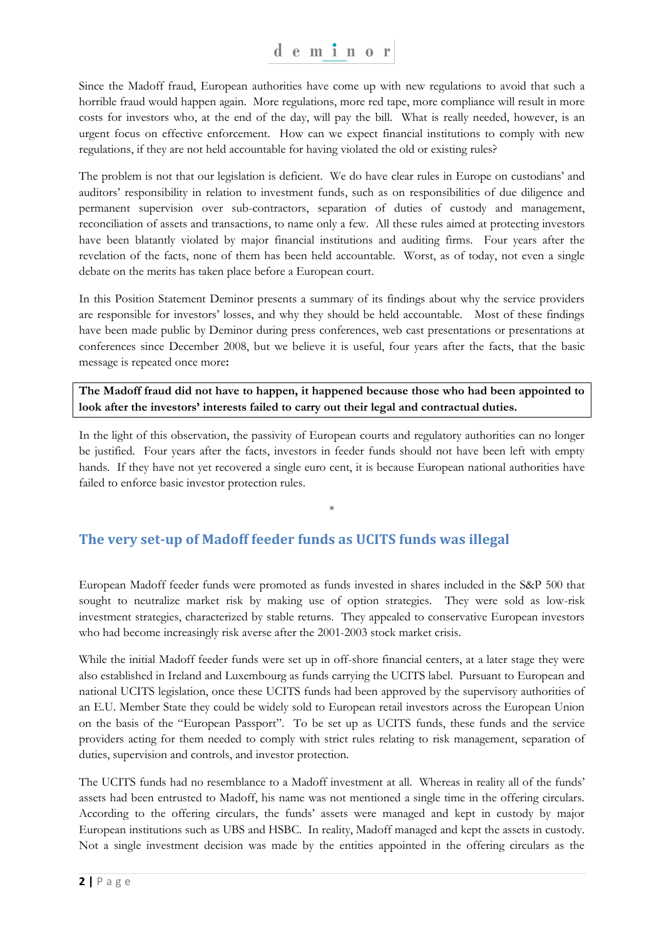Since the Madoff fraud, European authorities have come up with new regulations to avoid that such a horrible fraud would happen again. More regulations, more red tape, more compliance will result in more costs for investors who, at the end of the day, will pay the bill. What is really needed, however, is an urgent focus on effective enforcement. How can we expect financial institutions to comply with new regulations, if they are not held accountable for having violated the old or existing rules?

The problem is not that our legislation is deficient. We do have clear rules in Europe on custodians' and auditors' responsibility in relation to investment funds, such as on responsibilities of due diligence and permanent supervision over sub-contractors, separation of duties of custody and management, reconciliation of assets and transactions, to name only a few. All these rules aimed at protecting investors have been blatantly violated by major financial institutions and auditing firms. Four years after the revelation of the facts, none of them has been held accountable. Worst, as of today, not even a single debate on the merits has taken place before a European court.

In this Position Statement Deminor presents a summary of its findings about why the service providers are responsible for investors' losses, and why they should be held accountable. Most of these findings have been made public by Deminor during press conferences, web cast presentations or presentations at conferences since December 2008, but we believe it is useful, four years after the facts, that the basic message is repeated once more**:** 

**The Madoff fraud did not have to happen, it happened because those who had been appointed to look after the investors' interests failed to carry out their legal and contractual duties.** 

In the light of this observation, the passivity of European courts and regulatory authorities can no longer be justified. Four years after the facts, investors in feeder funds should not have been left with empty hands. If they have not yet recovered a single euro cent, it is because European national authorities have failed to enforce basic investor protection rules.

\*

#### **The very set-up of Madoff feeder funds as UCITS funds was illegal**

European Madoff feeder funds were promoted as funds invested in shares included in the S&P 500 that sought to neutralize market risk by making use of option strategies. They were sold as low-risk investment strategies, characterized by stable returns. They appealed to conservative European investors who had become increasingly risk averse after the 2001-2003 stock market crisis.

While the initial Madoff feeder funds were set up in off-shore financial centers, at a later stage they were also established in Ireland and Luxembourg as funds carrying the UCITS label. Pursuant to European and national UCITS legislation, once these UCITS funds had been approved by the supervisory authorities of an E.U. Member State they could be widely sold to European retail investors across the European Union on the basis of the "European Passport". To be set up as UCITS funds, these funds and the service providers acting for them needed to comply with strict rules relating to risk management, separation of duties, supervision and controls, and investor protection.

The UCITS funds had no resemblance to a Madoff investment at all. Whereas in reality all of the funds' assets had been entrusted to Madoff, his name was not mentioned a single time in the offering circulars. According to the offering circulars, the funds' assets were managed and kept in custody by major European institutions such as UBS and HSBC. In reality, Madoff managed and kept the assets in custody. Not a single investment decision was made by the entities appointed in the offering circulars as the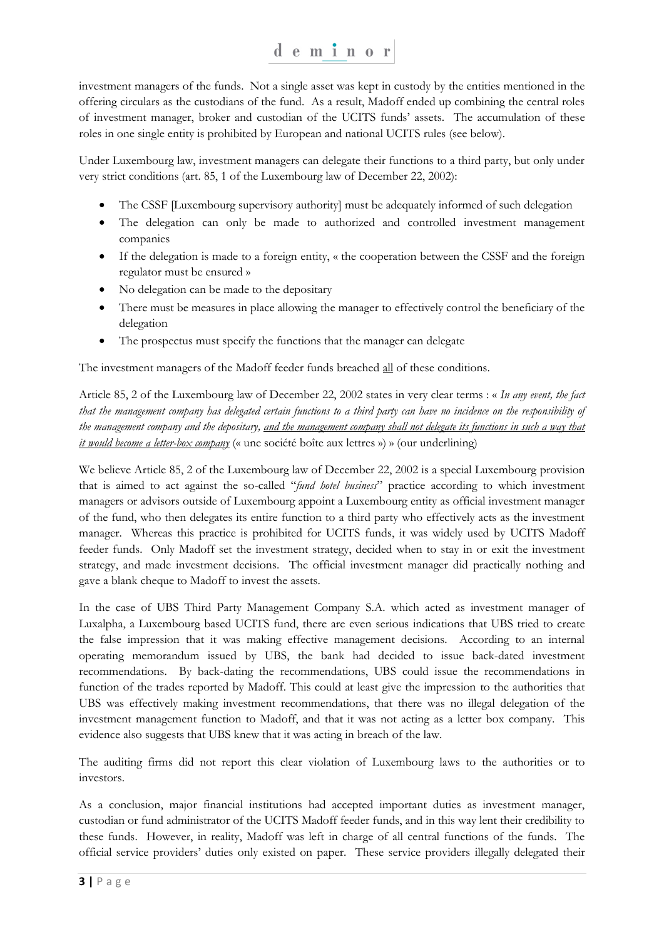investment managers of the funds. Not a single asset was kept in custody by the entities mentioned in the offering circulars as the custodians of the fund. As a result, Madoff ended up combining the central roles of investment manager, broker and custodian of the UCITS funds' assets. The accumulation of these roles in one single entity is prohibited by European and national UCITS rules (see below).

Under Luxembourg law, investment managers can delegate their functions to a third party, but only under very strict conditions (art. 85, 1 of the Luxembourg law of December 22, 2002):

- The CSSF [Luxembourg supervisory authority] must be adequately informed of such delegation
- The delegation can only be made to authorized and controlled investment management companies
- If the delegation is made to a foreign entity, « the cooperation between the CSSF and the foreign regulator must be ensured »
- No delegation can be made to the depositary
- There must be measures in place allowing the manager to effectively control the beneficiary of the delegation
- The prospectus must specify the functions that the manager can delegate

The investment managers of the Madoff feeder funds breached all of these conditions.

Article 85, 2 of the Luxembourg law of December 22, 2002 states in very clear terms : « *In any event, the fact that the management company has delegated certain functions to a third party can have no incidence on the responsibility of the management company and the depositary, and the management company shall not delegate its functions in such a way that it would become a letter-box company* (« une société boîte aux lettres ») » (our underlining)

We believe Article 85, 2 of the Luxembourg law of December 22, 2002 is a special Luxembourg provision that is aimed to act against the so-called "*fund hotel business*" practice according to which investment managers or advisors outside of Luxembourg appoint a Luxembourg entity as official investment manager of the fund, who then delegates its entire function to a third party who effectively acts as the investment manager. Whereas this practice is prohibited for UCITS funds, it was widely used by UCITS Madoff feeder funds. Only Madoff set the investment strategy, decided when to stay in or exit the investment strategy, and made investment decisions. The official investment manager did practically nothing and gave a blank cheque to Madoff to invest the assets.

In the case of UBS Third Party Management Company S.A. which acted as investment manager of Luxalpha, a Luxembourg based UCITS fund, there are even serious indications that UBS tried to create the false impression that it was making effective management decisions. According to an internal operating memorandum issued by UBS, the bank had decided to issue back-dated investment recommendations. By back-dating the recommendations, UBS could issue the recommendations in function of the trades reported by Madoff. This could at least give the impression to the authorities that UBS was effectively making investment recommendations, that there was no illegal delegation of the investment management function to Madoff, and that it was not acting as a letter box company. This evidence also suggests that UBS knew that it was acting in breach of the law.

The auditing firms did not report this clear violation of Luxembourg laws to the authorities or to investors.

As a conclusion, major financial institutions had accepted important duties as investment manager, custodian or fund administrator of the UCITS Madoff feeder funds, and in this way lent their credibility to these funds. However, in reality, Madoff was left in charge of all central functions of the funds. The official service providers' duties only existed on paper. These service providers illegally delegated their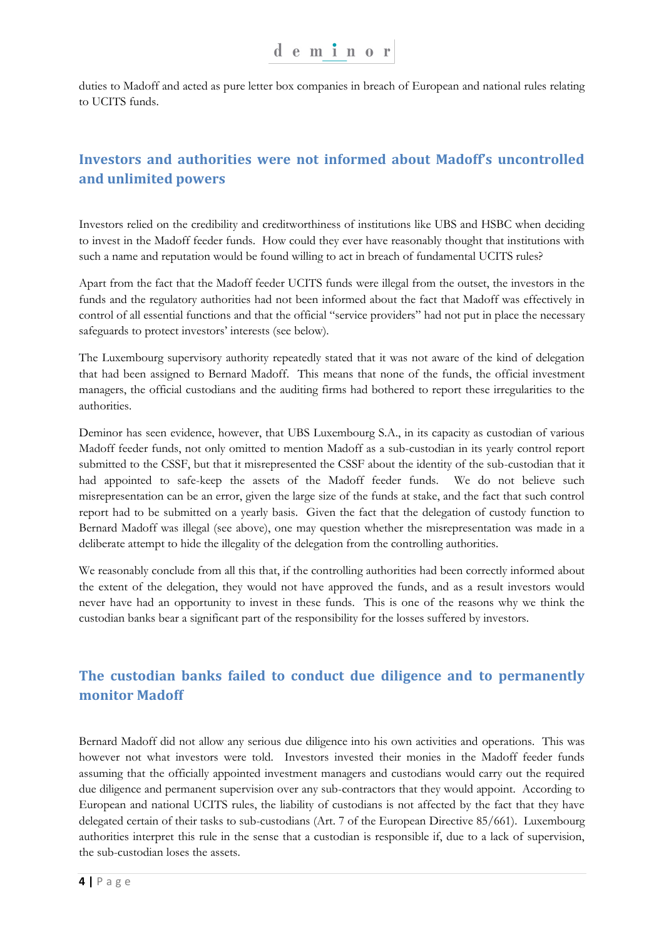duties to Madoff and acted as pure letter box companies in breach of European and national rules relating to UCITS funds.

#### **Investors and authorities were not informed about Madoff's uncontrolled and unlimited powers**

Investors relied on the credibility and creditworthiness of institutions like UBS and HSBC when deciding to invest in the Madoff feeder funds. How could they ever have reasonably thought that institutions with such a name and reputation would be found willing to act in breach of fundamental UCITS rules?

Apart from the fact that the Madoff feeder UCITS funds were illegal from the outset, the investors in the funds and the regulatory authorities had not been informed about the fact that Madoff was effectively in control of all essential functions and that the official "service providers" had not put in place the necessary safeguards to protect investors' interests (see below).

The Luxembourg supervisory authority repeatedly stated that it was not aware of the kind of delegation that had been assigned to Bernard Madoff. This means that none of the funds, the official investment managers, the official custodians and the auditing firms had bothered to report these irregularities to the authorities.

Deminor has seen evidence, however, that UBS Luxembourg S.A., in its capacity as custodian of various Madoff feeder funds, not only omitted to mention Madoff as a sub-custodian in its yearly control report submitted to the CSSF, but that it misrepresented the CSSF about the identity of the sub-custodian that it had appointed to safe-keep the assets of the Madoff feeder funds. We do not believe such misrepresentation can be an error, given the large size of the funds at stake, and the fact that such control report had to be submitted on a yearly basis. Given the fact that the delegation of custody function to Bernard Madoff was illegal (see above), one may question whether the misrepresentation was made in a deliberate attempt to hide the illegality of the delegation from the controlling authorities.

We reasonably conclude from all this that, if the controlling authorities had been correctly informed about the extent of the delegation, they would not have approved the funds, and as a result investors would never have had an opportunity to invest in these funds. This is one of the reasons why we think the custodian banks bear a significant part of the responsibility for the losses suffered by investors.

## **The custodian banks failed to conduct due diligence and to permanently monitor Madoff**

Bernard Madoff did not allow any serious due diligence into his own activities and operations. This was however not what investors were told. Investors invested their monies in the Madoff feeder funds assuming that the officially appointed investment managers and custodians would carry out the required due diligence and permanent supervision over any sub-contractors that they would appoint. According to European and national UCITS rules, the liability of custodians is not affected by the fact that they have delegated certain of their tasks to sub-custodians (Art. 7 of the European Directive 85/661). Luxembourg authorities interpret this rule in the sense that a custodian is responsible if, due to a lack of supervision, the sub-custodian loses the assets.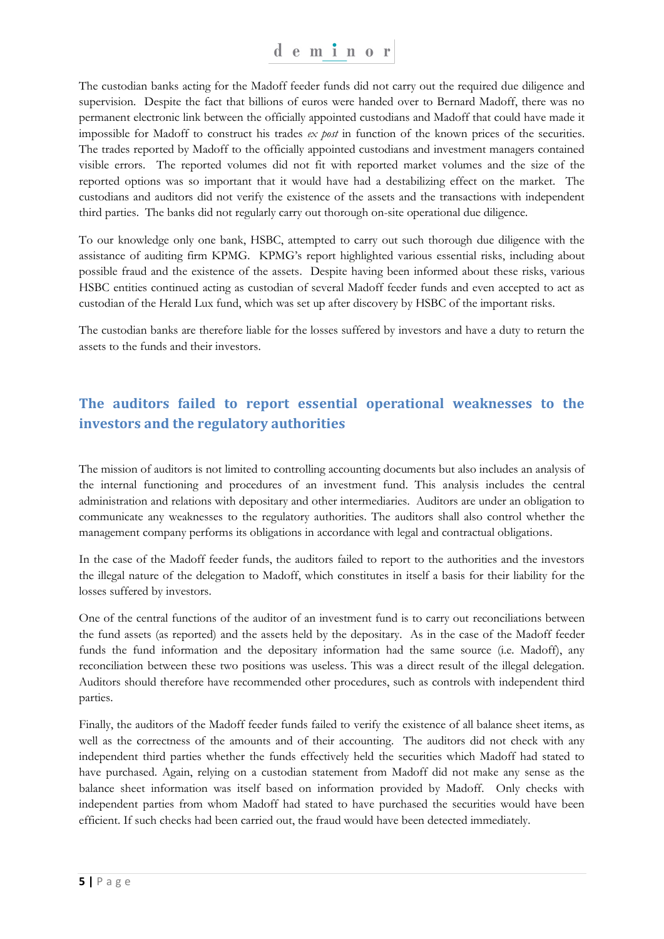The custodian banks acting for the Madoff feeder funds did not carry out the required due diligence and supervision. Despite the fact that billions of euros were handed over to Bernard Madoff, there was no permanent electronic link between the officially appointed custodians and Madoff that could have made it impossible for Madoff to construct his trades *ex post* in function of the known prices of the securities. The trades reported by Madoff to the officially appointed custodians and investment managers contained visible errors. The reported volumes did not fit with reported market volumes and the size of the reported options was so important that it would have had a destabilizing effect on the market. The custodians and auditors did not verify the existence of the assets and the transactions with independent third parties. The banks did not regularly carry out thorough on-site operational due diligence.

To our knowledge only one bank, HSBC, attempted to carry out such thorough due diligence with the assistance of auditing firm KPMG. KPMG's report highlighted various essential risks, including about possible fraud and the existence of the assets. Despite having been informed about these risks, various HSBC entities continued acting as custodian of several Madoff feeder funds and even accepted to act as custodian of the Herald Lux fund, which was set up after discovery by HSBC of the important risks.

The custodian banks are therefore liable for the losses suffered by investors and have a duty to return the assets to the funds and their investors.

### **The auditors failed to report essential operational weaknesses to the investors and the regulatory authorities**

The mission of auditors is not limited to controlling accounting documents but also includes an analysis of the internal functioning and procedures of an investment fund. This analysis includes the central administration and relations with depositary and other intermediaries. Auditors are under an obligation to communicate any weaknesses to the regulatory authorities. The auditors shall also control whether the management company performs its obligations in accordance with legal and contractual obligations.

In the case of the Madoff feeder funds, the auditors failed to report to the authorities and the investors the illegal nature of the delegation to Madoff, which constitutes in itself a basis for their liability for the losses suffered by investors.

One of the central functions of the auditor of an investment fund is to carry out reconciliations between the fund assets (as reported) and the assets held by the depositary. As in the case of the Madoff feeder funds the fund information and the depositary information had the same source (i.e. Madoff), any reconciliation between these two positions was useless. This was a direct result of the illegal delegation. Auditors should therefore have recommended other procedures, such as controls with independent third parties.

Finally, the auditors of the Madoff feeder funds failed to verify the existence of all balance sheet items, as well as the correctness of the amounts and of their accounting. The auditors did not check with any independent third parties whether the funds effectively held the securities which Madoff had stated to have purchased. Again, relying on a custodian statement from Madoff did not make any sense as the balance sheet information was itself based on information provided by Madoff. Only checks with independent parties from whom Madoff had stated to have purchased the securities would have been efficient. If such checks had been carried out, the fraud would have been detected immediately.